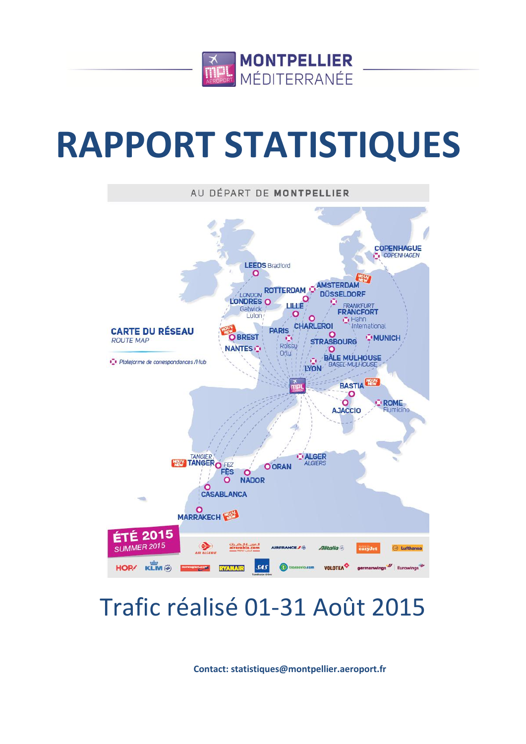

# **RAPPORT STATISTIQUES**



# Trafic réalisé 01-31 Août 2015

**Contact: statistiques@montpellier.aeroport.fr**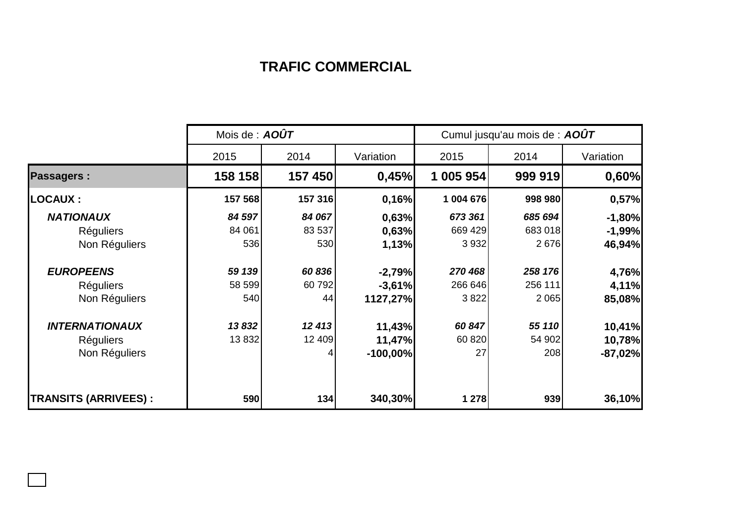## **TRAFIC COMMERCIAL**

|                             | Mois de : AOÛT |         |            | Cumul jusqu'au mois de : AOÛT |         |           |  |
|-----------------------------|----------------|---------|------------|-------------------------------|---------|-----------|--|
|                             | 2015           | 2014    | Variation  | 2015                          | 2014    | Variation |  |
| <b>Passagers:</b>           | 158 158        | 157 450 | 0,45%      | 1 005 954                     | 999 919 | 0,60%     |  |
| <b>LOCAUX:</b>              | 157 568        | 157 316 | 0,16%      | 1 004 676                     | 998 980 | 0,57%     |  |
| <b>NATIONAUX</b>            | 84 597         | 84 067  | 0,63%      | 673 361                       | 685 694 | $-1,80%$  |  |
| <b>Réguliers</b>            | 84 061         | 83 537  | 0,63%      | 669 429                       | 683 018 | $-1,99%$  |  |
| Non Réguliers               | 536            | 530     | 1,13%      | 3 9 3 2                       | 2676    | 46,94%    |  |
| <b>EUROPEENS</b>            | 59 139         | 60 836  | $-2,79%$   | 270 468                       | 258 176 | 4,76%     |  |
| <b>Réguliers</b>            | 58 599         | 60792   | $-3,61%$   | 266 646                       | 256 111 | 4,11%     |  |
| Non Réguliers               | 540            | 44      | 1127,27%   | 3822                          | 2 0 6 5 | 85,08%    |  |
| <b>INTERNATIONAUX</b>       | 13832          | 12 413  | 11,43%     | 60 847                        | 55 110  | 10,41%    |  |
| <b>Réguliers</b>            | 13832          | 12 409  | 11,47%     | 60 820                        | 54 902  | 10,78%    |  |
| Non Réguliers               |                | 4       | $-100,00%$ | 27                            | 208     | $-87,02%$ |  |
| <b>TRANSITS (ARRIVEES):</b> | 590            | 134     | 340,30%    | 1 278                         | 939     | 36,10%    |  |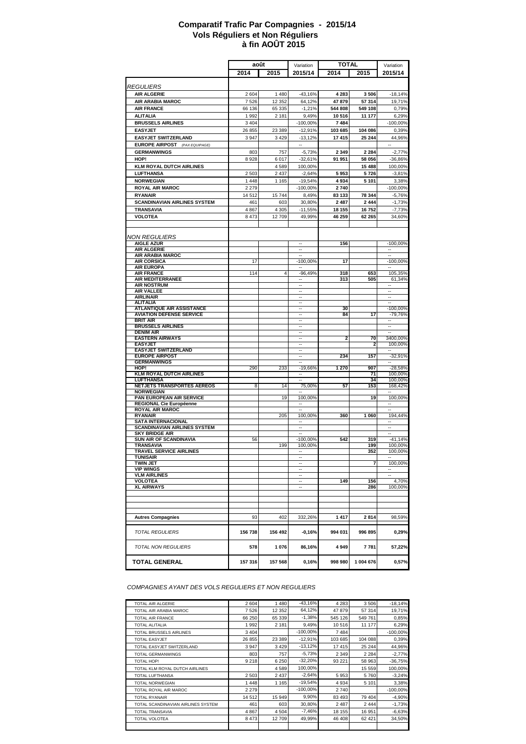#### **à fin AOÛT 2015 Comparatif Trafic Par Compagnies - 2015/14 Vols Réguliers et Non Réguliers**

|                                                                  | août              |                    | Variation                | <b>TOTAL</b>     |                   | Variation                |
|------------------------------------------------------------------|-------------------|--------------------|--------------------------|------------------|-------------------|--------------------------|
|                                                                  | 2014              | 2015               | 2015/14                  | 2014             | 2015              | 2015/14                  |
|                                                                  |                   |                    |                          |                  |                   |                          |
| <b>REGULIERS</b>                                                 |                   |                    |                          |                  |                   |                          |
| <b>AIR ALGERIE</b>                                               | 2 604             | 1 4 8 0            | $-43,16%$                | 4 2 8 3<br>47879 | 3 5 0 6<br>57 314 | $-18,14%$                |
| AIR ARABIA MAROC<br><b>AIR FRANCE</b>                            | 7 5 2 6<br>66 136 | 12 3 5 2<br>65 335 | 64,12%<br>$-1.21%$       | 544 808          | 549 108           | 19,71%<br>0.79%          |
| <b>ALITALIA</b>                                                  | 1 9 9 2           | 2 1 8 1            | 9,49%                    | 10516            | 11 177            | 6,29%                    |
| <b>BRUSSELS AIRLINES</b>                                         | 3 4 0 4           |                    | -100,00%                 | 7484             |                   | $-100,00%$               |
| <b>EASYJET</b>                                                   | 26 855            | 23 389             | $-12,91%$                | 103 685          | 104 086           | 0,39%                    |
| <b>EASYJET SWITZERLAND</b>                                       | 3 9 4 7           | 3 4 2 9            | $-13,12%$                | 17415            | 25 244            | 44,96%                   |
| <b>EUROPE AIRPOST</b> (PAX EQUIPAGE)                             |                   |                    | $\sim$                   |                  |                   | н.                       |
| <b>GERMANWINGS</b>                                               | 803               | 757                | $-5,73%$                 | 2 3 4 9          | 2 2 8 4           | $-2,77%$                 |
| HOP!                                                             | 8928              | 6017               | $-32,61%$                | 91 951           | 58 056            | $-36,86%$                |
| <b>KLM ROYAL DUTCH AIRLINES</b>                                  |                   | 4589               | 100,00%                  |                  | 15 488            | 100,00%                  |
| <b>LUFTHANSA</b>                                                 | 2 503             | 2 4 3 7            | $-2.64%$                 | 5953             | 5726              | $-3,81%$                 |
| <b>NORWEGIAN</b>                                                 | 1 4 4 8           | 1 1 6 5            | $-19,54%$                | 4934             | 5 101             | 3,38%                    |
| <b>ROYAL AIR MAROC</b><br><b>RYANAIR</b>                         | 2 2 7 9<br>14 512 | 15 744             | -100,00%                 | 2740<br>83 133   |                   | $-100,00%$               |
| <b>SCANDINAVIAN AIRLINES SYSTEM</b>                              | 461               | 603                | 8,49%<br>30,80%          | 2 4 8 7          | 78 344<br>2 4 4 4 | $-5,76%$<br>$-1,73%$     |
| TRANSAVIA                                                        | 4 8 6 7           | 4 3 0 5            | $-11,55%$                | 18 155           | 16752             | $-7,73%$                 |
| <b>VOLOTEA</b>                                                   | 8 4 7 3           | 12 709             | 49,99%                   | 46 259           | 62 265            | 34,60%                   |
|                                                                  |                   |                    |                          |                  |                   |                          |
|                                                                  |                   |                    |                          |                  |                   |                          |
| <b>NON REGULIERS</b>                                             |                   |                    |                          |                  |                   |                          |
| <b>AIGLE AZUR</b><br><b>AIR ALGERIE</b>                          |                   |                    |                          | 156              |                   | $-100,00%$               |
| AIR ARABIA MAROC                                                 |                   |                    | $\overline{\phantom{a}}$ |                  |                   | $\overline{\phantom{a}}$ |
| <b>AIR CORSICA</b>                                               | 17                |                    | $-100,00%$               | 17               |                   | $-100,00%$               |
| <b>AIR EUROPA</b><br><b>AIR FRANCE</b>                           | 114               | 4                  | $-96,49%$                | 318              | 653               | 105,35%                  |
| <b>AIR MEDITERRANEE</b>                                          |                   |                    | ٠.                       | 313              | 505               | 61,34%                   |
| <b>AIR NOSTRUM</b>                                               |                   |                    | $\sim$                   |                  |                   | $\overline{\phantom{a}}$ |
| <b>AIR VALLEE</b><br><b>AIRLINAIR</b>                            |                   |                    | ÷.<br>$\sim$             |                  |                   | ÷.<br>$\sim$             |
| <b>ALITALIA</b>                                                  |                   |                    | ٠.                       |                  |                   |                          |
| <b>ATLANTIQUE AIR ASSISTANCE</b>                                 |                   |                    | $\sim$                   | 30               |                   | $-100,00%$               |
| <b>AVIATION DEFENSE SERVICE</b>                                  |                   |                    | ÷.                       | 84               | 17                | $-79,76%$                |
| <b>BRIT AIR</b><br><b>BRUSSELS AIRLINES</b>                      |                   |                    | $\sim$<br>٠.             |                  |                   | ٠.                       |
| <b>DENIM AIR</b>                                                 |                   |                    | $\sim$                   |                  |                   | $\sim$                   |
| <b>EASTERN AIRWAYS</b>                                           |                   |                    | ٠.                       | 2                | 70                | 3400,00%                 |
| <b>EASYJET</b><br><b>EASYJET SWITZERLAND</b>                     |                   |                    | $\overline{\phantom{a}}$ |                  | 2                 | 100,00%                  |
| <b>EUROPE AIRPOST</b>                                            |                   |                    | $\overline{\phantom{a}}$ | 234              | 157               | -32,91%                  |
| <b>GERMANWINGS</b>                                               |                   |                    |                          |                  |                   |                          |
| HOP!<br><b>KLM ROYAL DUTCH AIRLINES</b>                          | 290               | 233                | $-19,66%$                | 1 270            | 907<br>71         | $-28,58%$<br>100,00%     |
| LUFTHANSA                                                        |                   |                    | $\overline{\phantom{a}}$ |                  | 34                | 100,00%                  |
| <b>NETJETS TRANSPORTES AEREOS</b>                                | 8                 | 14                 | 75,00%                   | 57               | 153               | 168,42%                  |
| <b>NORWEGIAN</b>                                                 |                   |                    |                          |                  |                   |                          |
| PAN EUROPEAN AIR SERVICE<br>REGIONAL Cie Européenne              |                   | 19                 | 100,00%<br>۰.            |                  | 19                | 100,00%<br>۰.            |
| <b>ROYAL AIR MAROC</b>                                           |                   |                    |                          |                  |                   |                          |
| <b>RYANAIR</b>                                                   |                   | 205                | 100,00%                  | 360              | 1 0 6 0           | 194,44%                  |
| <b>SATA INTERNACIONAL</b><br><b>SCANDINAVIAN AIRLINES SYSTEM</b> |                   |                    | ٠.                       |                  |                   | ٠.                       |
| <b>SKY BRIDGE AIR</b>                                            |                   |                    | $\overline{\phantom{a}}$ |                  |                   | ٠.                       |
| <b>SUN AIR OF SCANDINAVIA</b>                                    | 56                |                    | -100,00%                 | 542              | 319               | $-41,14%$                |
| TRANSAVIA<br><b>TRAVEL SERVICE AIRLINES</b>                      |                   | 199                | 100.00%                  |                  | 199<br>352        | 100,00%<br>100,00%       |
| TUNISAIR                                                         |                   |                    | $\overline{\phantom{a}}$ |                  |                   | н.                       |
| <b>TWIN JET</b>                                                  |                   |                    | ÷.                       |                  | 7                 | 100,00%                  |
| <b>VIP WINGS</b><br><b>VLM AIRLINES</b>                          |                   |                    | $\sim$<br>٠.             |                  |                   | ۰.                       |
| <b>VOLOTEA</b>                                                   |                   |                    | $\overline{\phantom{a}}$ | 149              | 156               | 4,70%                    |
| <b>XL AIRWAYS</b>                                                |                   |                    | ä,                       |                  | 286               | 100,00%                  |
|                                                                  |                   |                    |                          |                  |                   |                          |
|                                                                  |                   |                    |                          |                  |                   |                          |
|                                                                  |                   |                    |                          |                  |                   |                          |
| <b>Autres Compagnies</b>                                         | 93                | 402                | 332,26%                  | 1417             | 2814              | 98,59%                   |
|                                                                  |                   |                    |                          |                  |                   |                          |
| <b>TOTAL REGULIERS</b>                                           | 156 738           | 156 492            | $-0,16%$                 | 994 031          | 996 895           | 0,29%                    |
| TOTAL NON REGULIERS                                              | 578               | 1076               | 86,16%                   | 4949             | 7781              | 57,22%                   |
| <b>TOTAL GENERAL</b>                                             | 157 316           | 157 568            | 0,16%                    | 998 980          | 1 004 676         | 0,57%                    |
|                                                                  |                   |                    |                          |                  |                   |                          |

*COMPAGNIES AYANT DES VOLS REGULIERS ET NON REGULIERS*

| <b>TOTAL AIR ALGERIE</b>           | 2 604   | 1480     | $-43.16%$   | 4 2 8 3 | 3 506   | $-18,14%$  |
|------------------------------------|---------|----------|-------------|---------|---------|------------|
| TOTAL AIR ARABIA MAROC             | 7 5 2 6 | 12 3 5 2 | 64.12%      | 47879   | 57 314  | 19,71%     |
| <b>TOTAL AIR FRANCE</b>            | 66 250  | 65 339   | $-1.38%$    | 545 126 | 549 761 | 0,85%      |
| <b>TOTAL ALITALIA</b>              | 1992    | 2 1 8 1  | 9,49%       | 10516   | 11 177  | 6,29%      |
| <b>TOTAL BRUSSELS AIRLINES</b>     | 3 4 0 4 |          | $-100.00\%$ | 7484    |         | $-100,00%$ |
| <b>TOTAL EASYJET</b>               | 26 855  | 23 389   | $-12,91%$   | 103 685 | 104 088 | 0,39%      |
| TOTAL EASYJET SWITZERLAND          | 3 9 4 7 | 3 4 2 9  | $-13.12%$   | 17415   | 25 244  | 44,96%     |
| <b>TOTAL GERMANWINGS</b>           | 803     | 757      | $-5,73%$    | 2 3 4 9 | 2 2 8 4 | $-2,77%$   |
| TOTAL HOP!                         | 9 2 1 8 | 6 2 5 0  | $-32,20%$   | 93 221  | 58 963  | $-36,75%$  |
| TOTAL KLM ROYAL DUTCH AIRLINES     |         | 4589     | 100,00%     |         | 15 559  | 100,00%    |
| <b>TOTAL LUFTHANSA</b>             | 2 5 0 3 | 2 4 3 7  | $-2,64%$    | 5953    | 5760    | $-3,24%$   |
| <b>TOTAL NORWEGIAN</b>             | 1448    | 1 1 6 5  | $-19,54%$   | 4 9 3 4 | 5 1 0 1 | 3,38%      |
| TOTAL ROYAL AIR MAROC              | 2 2 7 9 |          | $-100.00\%$ | 2740    |         | $-100,00%$ |
| <b>TOTAL RYANAIR</b>               | 14 512  | 15 949   | 9,90%       | 83 493  | 79 404  | $-4,90%$   |
| TOTAL SCANDINAVIAN AIRLINES SYSTEM | 461     | 603      | 30,80%      | 2 4 8 7 | 2 4 4 4 | $-1,73%$   |
| <b>TOTAL TRANSAVIA</b>             | 4 8 6 7 | 4 5 0 4  | $-7,46%$    | 18 155  | 16 951  | $-6,63%$   |
| <b>TOTAL VOLOTEA</b>               | 8 4 7 3 | 12 709   | 49,99%      | 46 408  | 62 421  | 34,50%     |
|                                    |         |          |             |         |         |            |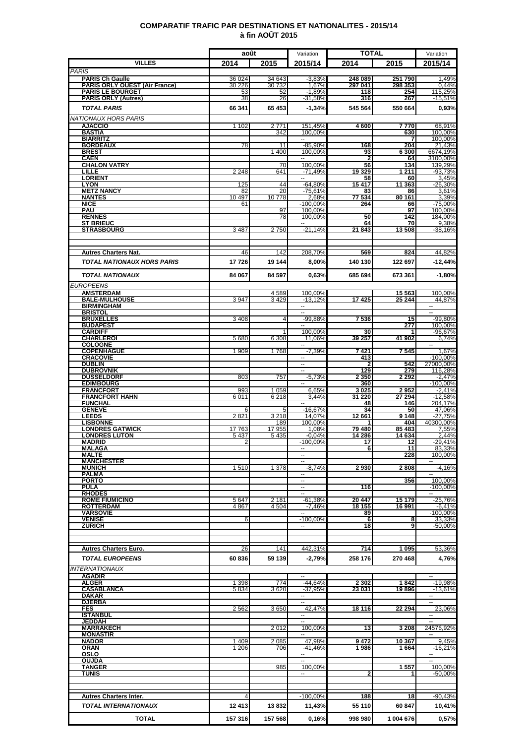### **COMPARATIF TRAFIC PAR DESTINATIONS ET NATIONALITES - 2015/14 à fin AOÛT 2015**

|                                                                | août             |                  | Variation                                            | <b>TOTAL</b>       |                    | Variation                  |
|----------------------------------------------------------------|------------------|------------------|------------------------------------------------------|--------------------|--------------------|----------------------------|
| <b>VILLES</b>                                                  | 2014             | 2015             | 2015/14                                              | 2014               | 2015               | 2015/14                    |
| <b>PARIS</b>                                                   |                  |                  |                                                      |                    |                    |                            |
| <b>PARIS Ch Gaulle</b><br><b>PARIS ORLY OUEST (Air France)</b> | 36 024<br>30 226 | 34 643<br>30 732 | $-3,83%$<br>1,67%                                    | 248 089<br>297 041 | 251 790<br>298 353 | 1,49%<br>0.44%             |
| <b>PARIS LE BOURGET</b>                                        | 53               | 52               | $-1,89%$                                             | 118                | 254                | 115,25%                    |
| <b>PARIS ORLY (Autres)</b>                                     | 38               | 26               | -31,58%                                              | 316                | 267                | $-15,51%$                  |
| <b>TOTAL PARIS</b>                                             | 66 341           | 65 453           | $-1.34%$                                             | 545 564            | 550 664            | 0,93%                      |
| NATIONAUX HORS PARIS                                           |                  |                  |                                                      |                    |                    |                            |
| <b>AJACCIO</b><br>BASTIA                                       | 1 1 0 2          | 2771<br>342      | 151,45%<br>100,00%                                   | 4600               | 7770<br>630        | 68,91%<br>100,00%          |
| <b>BIARRITZ</b>                                                |                  |                  |                                                      |                    | 7                  | 100.00%                    |
| <b>BORDEAUX</b><br><b>BREST</b>                                | 78               | 11<br>1 400      | $-85,90%$<br>100.00%                                 | 168<br>93          | 204<br>6 300       | 21,43%<br>6674,19%         |
| <b>CAEN</b>                                                    |                  |                  |                                                      | 2                  | 64                 | 3100,00%                   |
| <b>CHALON VATRY</b>                                            |                  | 70               | 100,00%                                              | 56                 | 134                | 139,29%                    |
| LILLE<br><b>LORIENT</b>                                        | 2 2 4 8          | 641              | $-71,49%$<br>$\sim$                                  | 19 3 29<br>58      | 1 2 1 1<br>60      | $-93,73%$<br>3,45%         |
| <b>LYON</b>                                                    | 125              | 44               | $-64,80%$                                            | 15 417             | 11 363             | $-26,30%$                  |
| <b>METZ NANCY</b><br><b>NANTES</b>                             | 82<br>10 497     | 20<br>10778      | $-75,61%$<br>2,68%                                   | 83<br>77 534       | 86<br>80 161       | 3,61%<br>3,39%             |
| <b>NICE</b>                                                    | 61               |                  | $-100,00%$                                           | 264                | 66                 | $-75,00%$                  |
| PAU                                                            |                  | 97               | 100,00%                                              |                    | 97                 | 100,00%                    |
| <b>RENNES</b><br><b>ST BRIEUC</b>                              |                  | 78               | 100.00%<br>$\overline{a}$                            | 50<br>64           | 142<br>70          | 184,00%<br>9,38%           |
| <b>STRASBOURG</b>                                              | 3 4 8 7          | 2750             | $-21.14%$                                            | 21843              | 13 508             | $-38.16%$                  |
|                                                                |                  |                  |                                                      |                    |                    |                            |
|                                                                |                  |                  |                                                      |                    |                    |                            |
| <b>Autres Charters Nat.</b>                                    | 46               | 142              | 208,70%                                              | 569                | 824                | 44,82%                     |
| <b>TOTAL NATIONAUX HORS PARIS</b>                              | 17726            | 19 144           | 8,00%                                                | 140 130            | 122 697            | $-12,44%$                  |
| <b>TOTAL NATIONAUX</b>                                         | 84 067           | 84 597           | 0,63%                                                | 685 694            | 673 361            | $-1,80%$                   |
| <b>EUROPEENS</b>                                               |                  |                  |                                                      |                    |                    |                            |
| <b>AMSTERDAM</b>                                               |                  | 4589             | 100,00%                                              |                    | 15 563             | 100,00%                    |
| <b>BALE-MULHOUSE</b>                                           | 3947             | 3429             | $-13,12%$                                            | 17425              | 25 244             | 44,87%                     |
| <b>BIRMINGHAM</b><br><b>BRISTOL</b>                            |                  |                  |                                                      |                    |                    |                            |
| <b>BRUXELLES</b>                                               | 3408             | $\overline{4}$   | $-99,88%$                                            | 7536               | 15                 | -99,80%                    |
| <b>BUDAPEST</b><br><b>CARDIFF</b>                              |                  | 1                | 100,00%                                              | 30                 | 277                | 100,00%<br>$-96,67%$       |
| <b>CHARLEROI</b>                                               | 5 6 8 0          | 6 3 0 8          | 11,06%                                               | 39 257             | 41 902             | 6,74%                      |
| <b>COLOGNE</b>                                                 |                  |                  | ۰.                                                   |                    |                    | $\overline{\phantom{a}}$   |
| <b>COPENHAGUE</b><br><b>CRACOVIE</b>                           | 1 909            | 1768             | $-7,39%$                                             | 7421<br>413        | 7545               | 1,67%<br>$-100,00%$        |
| <b>DUBLIN</b>                                                  |                  |                  | $\overline{a}$                                       | 2                  | 542                | 27000,00%                  |
| <b>DUBROVNIK</b>                                               |                  |                  | $\overline{\phantom{a}}$                             | 129                | 279                | 116,28%                    |
| <b>DUSSELDORF</b><br><b>EDIMBOURG</b>                          | 803              | 757              | $-5,73%$                                             | 2 3 5 0<br>360     | 2 2 9 2            | $-2,47%$<br>$-100,00\%$    |
| <b>FRANCFORT</b>                                               | 993              | 1 0 5 9          | 6,65%                                                | 3025               | 2952               | $-2,41%$                   |
| <b>FRANCFORT HAHN</b><br><b>FUNCHAL</b>                        | 6011             | 6 2 18           | 3.44%                                                | 31 220<br>48       | 27 294<br>146      | $-12,58%$<br>204,17%       |
| <b>GENEVE</b>                                                  | 6                | 5                | $-16,67%$                                            | 34                 | 50                 | 47,06%                     |
| <b>LEEDS</b>                                                   | 2821             | 3 2 1 8          | 14,07%                                               | 12 661             | 9 1 4 8            | $-27,75%$                  |
| <b>LISBONNE</b><br><b>LONDRES GATWICK</b>                      | 17763            | 189<br>17 955    | 100.00%<br>1,08%                                     | 79 480             | 404<br>85 483      | 40300.00%<br>7,55%         |
| <b>LONDRES LUTON</b>                                           | 5 4 3 7          | 5 4 3 5          | $-0.04%$                                             | 14 286             | 14 634             | 2.44%                      |
| <b>MADRID</b><br><b>MALAGA</b>                                 | 2                |                  | $-100,00%$<br>--                                     | 17<br>6            | 12<br>11           | $-29,41%$<br>83.33%        |
| <b>MALTE</b>                                                   |                  |                  | $\overline{\phantom{a}}$                             |                    | 228                | 100,00%                    |
| <b>MANCHESTER</b>                                              |                  |                  | --                                                   |                    |                    | $\overline{\phantom{a}}$   |
| <b>MUNICH</b><br><b>PALMA</b>                                  | 1510             | 1 3 7 8          | $-8,74%$<br>--                                       | 2930               | 2 8 0 8            | $-4,16%$                   |
| <b>PORTO</b>                                                   |                  |                  | $\overline{\phantom{a}}$                             |                    | 356                | 100,00%                    |
| <b>PULA</b><br><b>RHODES</b>                                   |                  |                  | $\overline{\phantom{a}}$<br>$\overline{\phantom{a}}$ | 116                |                    | $-100,00%$<br>$\sim$       |
| <b>ROME FIUMICINO</b>                                          | 5 6 4 7          | 2 1 8 1          | $-61,38%$                                            | 20 447             | 15 179             | $-25,76%$                  |
| <b>ROTTERDAM</b>                                               | 4 8 6 7          | 4 5 0 4          | $-7,46%$                                             | 18 155             | 16 991             | $-6,41%$                   |
| <b>VARSOVIE</b><br><b>VENISE</b>                               | 6                |                  | $-100,00\%$                                          | 89<br>6            | 8                  | $-100,00%$<br>33,33%       |
| <b>ZURICH</b>                                                  |                  |                  |                                                      | 18                 | 9                  | -50,00%                    |
|                                                                |                  |                  |                                                      |                    |                    |                            |
| <b>Autres Charters Euro.</b>                                   | 26               | 141              | 442,31%                                              | 714                | 1 0 9 5            | 53,36%                     |
|                                                                |                  |                  |                                                      |                    |                    |                            |
| <b>TOTAL EUROPEENS</b>                                         | 60836            | 59 139           | $-2,79%$                                             | 258 176            | 270 468            | 4,76%                      |
| <b>INTERNATIONAUX</b>                                          |                  |                  |                                                      |                    |                    |                            |
| <b>AGADIR</b><br><b>ALGER</b>                                  | 1 3 9 8          | 774              | $-44,64%$                                            | 2 3 0 2            | 1842               | $-19,98%$                  |
| <b>CASABLANCA</b>                                              | 5834             | 3620             | $-37.95%$                                            | 23 031             | 19896              | $-13,61\%$                 |
| <b>DAKAR</b><br><b>DJERBA</b>                                  |                  |                  | --<br>$\overline{\phantom{a}}$                       |                    |                    | ۰.<br>$\sim$               |
| <b>FES</b>                                                     | 2562             | 3650             | 42.47%                                               | 18 116             | 22 294             | 23,06%                     |
| <b>ISTANBUL</b>                                                |                  |                  | ⊷                                                    |                    |                    | $\overline{\phantom{a}}$   |
| <b>JEDDAH</b><br><b>MARRAKECH</b>                              |                  | 2012             | u.<br>100,00%                                        | 13                 | 3 2 0 8            | 24576,92%                  |
| <b>MONASTIR</b>                                                |                  |                  |                                                      |                    |                    |                            |
| <b>NADOR</b>                                                   | 1 4 0 9          | 2 0 8 5          | 47,98%                                               | 9472               | 10 367             | 9,45%                      |
| ORAN<br>OSLO                                                   | 1 206            | 706              | $-41.46%$<br>$\overline{a}$                          | 1986               | 1664               | $-16,21%$<br>$\sim$ $\sim$ |
| OUJDA                                                          |                  |                  | $\overline{\phantom{a}}$                             |                    |                    | $\sim$                     |
| <b>TANGER</b><br>TUNIS                                         |                  | 985              | 100,00%<br>۰.                                        | 2                  | 1557               | 100,00%<br>-50,00%         |
|                                                                |                  |                  |                                                      |                    |                    |                            |
|                                                                |                  |                  |                                                      |                    |                    |                            |
| <b>Autres Charters Inter.</b>                                  | 4                |                  | $-100,00%$                                           | 188                | 18                 | -90,43%                    |
| TOTAL INTERNATIONAUX                                           | 12 413           | 13832            | 11,43%                                               | 55 110             | 60 847             | 10,41%                     |
| <b>TOTAL</b>                                                   | 157 316          | 157 568          | 0,16%                                                | 998 980            | 1 004 676          | 0,57%                      |